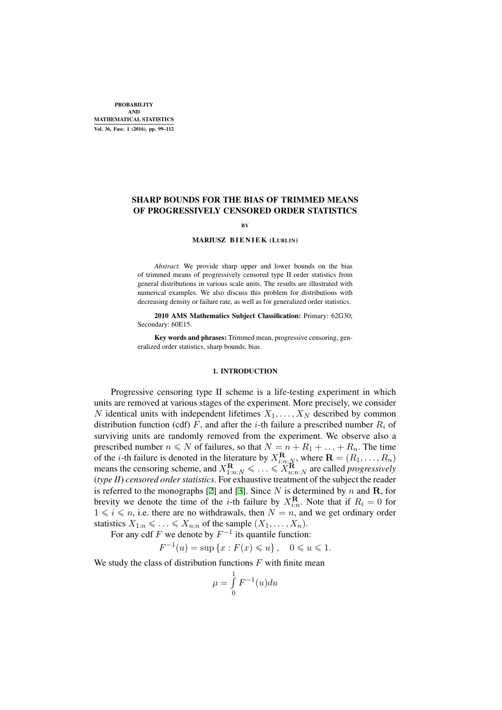# SHARP BOUNDS FOR THE BIAS OF TRIMMED MEANS OF PROGRESSIVELY CENSORED ORDER STATISTICS

**BY** 

#### MARIUSZ BIENIEK (LUBLIN)

*Abstract.* We provide sharp upper and lower bounds on the bias of trimmed means of progressively censored type II order statistics from general distributions in various scale units. The results are illustrated with numerical examples. We also discuss this problem for distributions with decreasing density or failure rate, as well as for generalized order statistics.

2010 AMS Mathematics Subject Classification: Primary: 62G30; Secondary: 60E15.

Key words and phrases: Trimmed mean, progressive censoring, generalized order statistics, sharp bounds, bias.

#### 1. INTRODUCTION

Progressive censoring type II scheme is a life-testing experiment in which units are removed at various stages of the experiment. More precisely, we consider *N* identical units with independent lifetimes  $X_1, \ldots, X_N$  described by common distribution function (cdf)  $F$ , and after the *i*-th failure a prescribed number  $R_i$  of surviving units are randomly removed from the experiment. We observe also a prescribed number  $n \le N$  of failures, so that  $N = n + R_1 + \ldots + R_n$ . The time of the *i*-th failure is denoted in the literature by  $X_{i:n:\mathbb{N}}^{\mathbf{R}}$ , where  $\mathbf{R} = (R_1, \dots, R_n)$ means the censoring scheme, and  $X_{1:n:N}^{\mathbf{R}} \leq \ldots \leq X_{n:n:N}^{\mathbf{R}}$  are called *progressively* (*type II*) *censored order statistics*. For exhaustive treatment of the subject the reader is referred to the monographs [2] and [3]. Since *N* is determined by *n* and **R**, for brevity we denote the time of the *i*-th failure by  $X_{i:n}^{\mathbf{R}}$ . Note that if  $R_i = 0$  for  $1 \leq i \leq n$ , i.e. there are no withdrawals, then  $N = n$ , and we get ordinary order statistics  $X_{1:n} \leqslant \ldots \leqslant X_{n:n}$  of the sample  $(X_1, \ldots, X_n)$ .

For any cdf  $F$  we denote [by](#page-13-0)  $F^{-1}$  [its](#page-13-1) quantile function:

$$
F^{-1}(u) = \sup \{ x : F(x) \leq u \}, \quad 0 \leq u \leq 1.
$$

We study the class of distribution functions *F* with finite mean

$$
\mu = \int_{0}^{1} F^{-1}(u) du
$$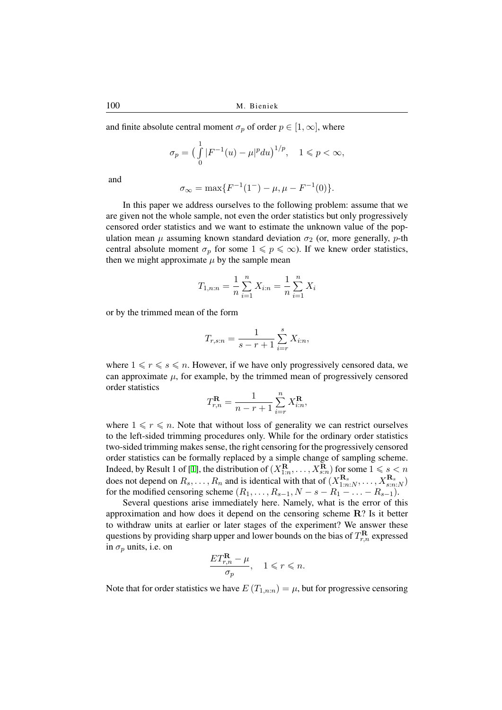and finite absolute central moment  $\sigma_p$  of order  $p \in [1, \infty]$ , where

$$
\sigma_p = \left(\int_{0}^{1} |F^{-1}(u) - \mu|^p du\right)^{1/p}, \quad 1 \leq p < \infty,
$$

and

$$
\sigma_{\infty} = \max\{F^{-1}(1^-) - \mu, \mu - F^{-1}(0)\}.
$$

In this paper we address ourselves to the following problem: assume that we are given not the whole sample, not even the order statistics but only progressively censored order statistics and we want to estimate the unknown value of the population mean  $\mu$  assuming known standard deviation  $\sigma_2$  (or, more generally, *p*-th central absolute moment  $\sigma_p$  for some  $1 \leq p \leq \infty$ ). If we knew order statistics, then we might approximate  $\mu$  by the sample mean

$$
T_{1,n:n} = \frac{1}{n} \sum_{i=1}^{n} X_{i:n} = \frac{1}{n} \sum_{i=1}^{n} X_i
$$

or by the trimmed mean of the form

$$
T_{r,s:n} = \frac{1}{s - r + 1} \sum_{i=r}^{s} X_{i:n},
$$

where  $1 \le r \le s \le n$ . However, if we have only progressively censored data, we can approximate  $\mu$ , for example, by the trimmed mean of progressively censored order statistics

$$
T_{r,n}^{\mathbf{R}} = \frac{1}{n-r+1} \sum_{i=r}^{n} X_{i:n}^{\mathbf{R}},
$$

where  $1 \leq r \leq n$ . Note that without loss of generality we can restrict ourselves to the left-sided trimming procedures only. While for the ordinary order statistics two-sided trimming makes sense, the right censoring for the progressively censored order statistics can be formally replaced by a simple change of sampling scheme. Indeed, by Result 1 of [1], the distribution of  $(X_{1:n}^{\mathbf{R}}, \dots, X_{s:n}^{\mathbf{R}})$  for some  $1 \leqslant s \leq n$ does not depend on  $R_s, \ldots, R_n$  and is identical with that of  $(X_{1:n:N}^{\mathbf{R}_s}, \ldots, X_{s:n:N}^{\mathbf{R}_s})$ for the modified censoring scheme  $(R_1, \ldots, R_{s-1}, N - s - R_1 - \ldots - R_{s-1}).$ 

Several questions arise immediately here. Namely, what is the error of this approximation and ho[w](#page-13-2) does it depend on the censoring scheme **R**? Is it better to withdraw units at earlier or later stages of the experiment? We answer these questions by providing sharp upper and lower bounds on the bias of  $T^{\mathbf{R}}_{r,n}$  expressed in  $\sigma_p$  units, i.e. on

$$
\frac{ET_{r,n}^{\mathbf{R}} - \mu}{\sigma_p}, \quad 1 \leqslant r \leqslant n.
$$

Note that for order statistics we have  $E(T_{1,n:n}) = \mu$ , but for progressive censoring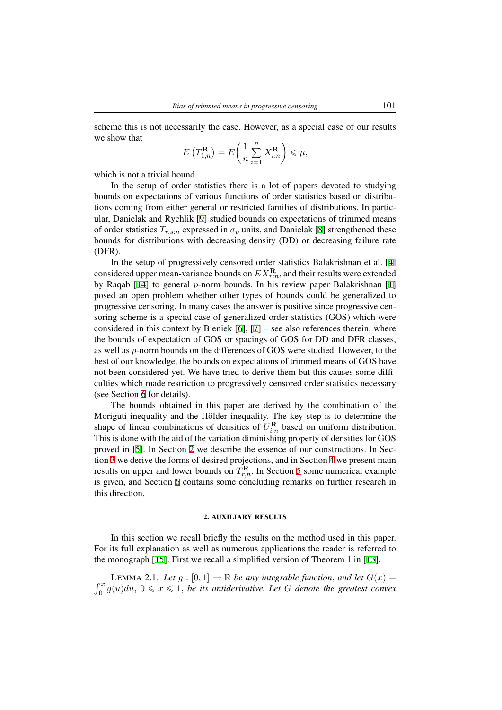scheme this is not necessarily the case. However, as a special case of our results we show that

$$
E\left(T_{1,n}^{\mathbf{R}}\right) = E\left(\frac{1}{n}\sum_{i=1}^{n} X_{i:n}^{\mathbf{R}}\right) \leq \mu,
$$

which is not a trivial bound.

In the setup of order statistics there is a lot of papers devoted to studying bounds on expectations of various functions of order statistics based on distributions coming from either general or restricted families of distributions. In particular, Danielak and Rychlik [9] studied bounds on expectations of trimmed means of order statistics  $T_{r,s:n}$  expressed in  $\sigma_p$  units, and Danielak [8] strengthened these bounds for distributions with decreasing density (DD) or decreasing failure rate (DFR).

In the setup of progress[iv](#page-13-3)ely censored order statistics Balakrishnan et al. [4] considered upper mean-variance bounds on  $EX_{r:n}^{\mathbf{R}}$ , and their [re](#page-13-4)sults were extended by Raqab [14] to general *p*-norm bounds. In his review paper Balakrishnan [1] posed an open problem whether other types of bounds could be generalized to progressive censoring. In many cases the answer is positive since progressive ce[n](#page-13-5)soring scheme is a special case of generalized order statistics (GOS) which were considered [in](#page-13-6) this context by Bieniek  $[6]$ ,  $[7]$  – see also ref[ere](#page-13-2)nces therein, where the bounds of expectation of GOS or spacings of GOS for DD and DFR classes, as well as *p*-norm bounds on the differences of GOS were studied. However, to the best of our knowledge, the bounds on expectations of trimmed means of GOS have not been considered yet. We have trie[d t](#page-13-7)o [de](#page-13-8)rive them but this causes some difficulties which made restriction to progressively censored order statistics necessary (see Section 6 for details).

The bounds obtained in this paper are derived by the combination of the Moriguti inequality and the Hölder inequality. The key step is to determine the shape of linear combinations of densities of  $U_{i:n}^{\mathbf{R}}$  based on uniform distribution. This is done [w](#page-11-0)ith the aid of the variation diminishing property of densities for GOS proved in [5]. In Section 2 we describe the essence of our constructions. In Section 3 we derive the forms of desired projections, and in Section 4 we present main results on upper and lower bounds on  $T_{r,n}^{\mathbf{R}}$ . In Section 5 some numerical example is given, and Section 6 contains some concluding remarks on further research in this directi[on](#page-13-9).

#### 2. AUXILIARY RESULTS

In this section we recall briefly the results on the method used in this paper. For its full explanation as well as numerous applications the reader is referred to the monograph [15]. First we recall a simplified version of Theorem 1 in [13].

∫ *x* **LEMMA 2.1.** Let  $g : [0, 1] \rightarrow \mathbb{R}$  be any integrable function, and let  $G(x) =$  $\int_0^x g(u) du, 0 \leq x \leq 1$ , be its antiderivative. Let  $\overline{G}$  denote the greatest convex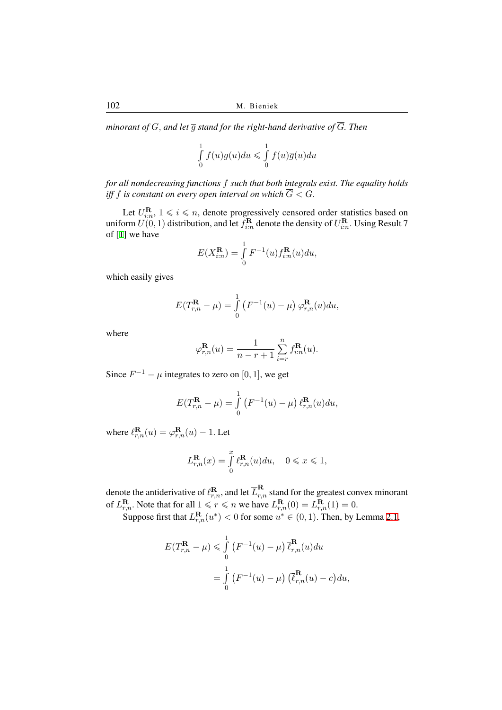*minorant of*  $G$ *, and let*  $\overline{q}$  *stand for the right-hand derivative of*  $\overline{G}$ *. Then* 

$$
\int_{0}^{1} f(u)g(u)du \leqslant \int_{0}^{1} f(u)\overline{g}(u)du
$$

*for all nondecreasing functions f such that both integrals exist. The equality holds iff f* is constant on every open interval on which  $\overline{G} < G$ *.* 

Let  $U_{i:n}^{\mathbf{R}}$ ,  $1 \leq i \leq n$ , denote progressively censored order statistics based on uniform  $U(0, 1)$  distribution, and let  $f_{i:n}^{\mathbf{R}}$  denote the density of  $U_{i:n}^{\mathbf{R}}$ . Using Result 7 of [1] we have

$$
E(X_{i:n}^{\mathbf{R}}) = \int_{0}^{1} F^{-1}(u) f_{i:n}^{\mathbf{R}}(u) du,
$$

wh[ic](#page-13-2)h easily gives

$$
E(T_{r,n}^{\mathbf{R}} - \mu) = \int_{0}^{1} \left( F^{-1}(u) - \mu \right) \varphi_{r,n}^{\mathbf{R}}(u) du,
$$

where

$$
\varphi_{r,n}^{\mathbf{R}}(u) = \frac{1}{n-r+1} \sum_{i=r}^{n} f_{i:n}^{\mathbf{R}}(u).
$$

Since  $F^{-1} - \mu$  integrates to zero on [0, 1], we get

$$
E(T_{r,n}^{\mathbf{R}} - \mu) = \int_{0}^{1} \left( F^{-1}(u) - \mu \right) \ell_{r,n}^{\mathbf{R}}(u) du,
$$

where  $\ell_{r,n}^{\mathbf{R}}(u) = \varphi_{r,n}^{\mathbf{R}}(u) - 1$ . Let

$$
L_{r,n}^{\mathbf{R}}(x) = \int_{0}^{x} \ell_{r,n}^{\mathbf{R}}(u) du, \quad 0 \leq x \leq 1,
$$

denote the antiderivative of  $\ell^{\mathbf{R}}_{r,n}$ , and let  $\overline{L}^{\mathbf{R}}_{r,n}$  stand for the greatest convex minorant of  $L_{r,n}^{\mathbf{R}}$ . Note that for all  $1 \le r \le n$  we have  $L_{r,n}^{\mathbf{R}}(0) = L_{r,n}^{\mathbf{R}}(1) = 0$ .

Suppose first that  $L_{r,n}^{\mathbf{R}}(u^*) < 0$  for some  $u^* \in (0,1)$ . Then, by Lemma 2.1,

$$
E(T_{r,n}^{\mathbf{R}} - \mu) \leqslant \int_{0}^{1} \left( F^{-1}(u) - \mu \right) \overline{\ell}_{r,n}^{\mathbf{R}}(u) du
$$
  
= 
$$
\int_{0}^{1} \left( F^{-1}(u) - \mu \right) \left( \overline{\ell}_{r,n}^{\mathbf{R}}(u) - c \right) du,
$$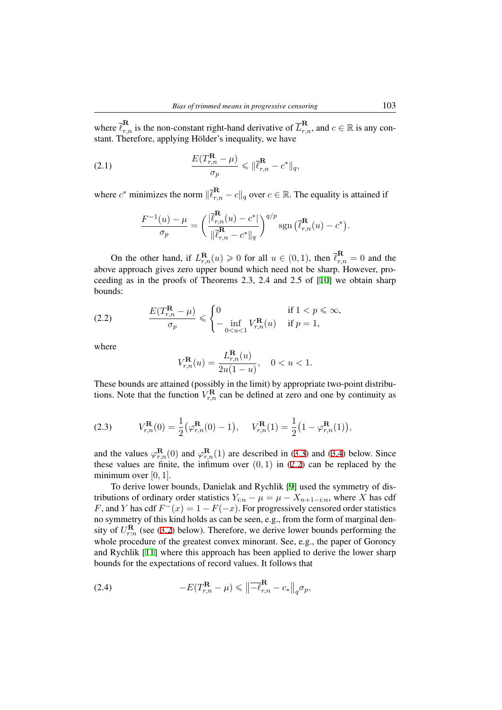where  $\overline{\ell}_{r,n}^{\mathbf{R}}$  is the non-constant right-hand derivative of  $\overline{L}_{r,n}^{\mathbf{R}}$ , and  $c \in \mathbb{R}$  is any constant. Therefore, applying Hölder's inequality, we have

(2.1) 
$$
\frac{E(T_{r,n}^{\mathbf{R}} - \mu)}{\sigma_p} \leq \|\bar{\ell}_{r,n}^{\mathbf{R}} - c^*\|_q,
$$

where  $c^*$  minimizes the norm  $\|\overline{\ell}_{r,n}^{\mathbf{R}} - c\|_q$  over  $c \in \mathbb{R}$ . The equality is attained if

<span id="page-4-1"></span>
$$
\frac{F^{-1}(u)-\mu}{\sigma_p}=\left(\frac{|\overline{\ell}_{r,n}^{\mathbf{R}}(u)-c^*|}{\|\overline{\ell}_{r,n}^{\mathbf{R}}-c^*\|_q}\right)^{q/p}\operatorname{sgn}\big(\overline{\ell}_{r,n}^{\mathbf{R}}(u)-c^*\big).
$$

On the other hand, if  $L_{r,n}^{\mathbf{R}}(u) \ge 0$  for all  $u \in (0,1)$ , then  $\overline{\ell}_{r,n}^{\mathbf{R}} = 0$  and the above approach gives zero upper bound which need not be sharp. However, proceeding as in the proofs of Theorems 2.3, 2.4 and 2.5 of [10] we obtain sharp bounds:

(2.2) 
$$
\frac{E(T_{r,n}^{\mathbf{R}} - \mu)}{\sigma_p} \leq \begin{cases} 0 & \text{if } 1 < p \leq \infty, \\ -\inf_{0 \leq u < 1} V_{r,n}^{\mathbf{R}}(u) & \text{if } p = 1, \end{cases}
$$

where

<span id="page-4-0"></span>
$$
V_{r,n}^{\mathbf{R}}(u) = \frac{L_{r,n}^{\mathbf{R}}(u)}{2u(1-u)}, \quad 0 < u < 1.
$$

These bounds are attained (possibly in the limit) by appropriate two-point distributions. Note that the function  $V_{r,n}^{\mathbf{R}}$  can be defined at zero and one by continuity as

(2.3) 
$$
V_{r,n}^{\mathbf{R}}(0) = \frac{1}{2} (\varphi_{r,n}^{\mathbf{R}}(0) - 1), \quad V_{r,n}^{\mathbf{R}}(1) = \frac{1}{2} (1 - \varphi_{r,n}^{\mathbf{R}}(1)),
$$

<span id="page-4-3"></span>and the values  $\varphi_{r,n}^{\mathbf{R}}(0)$  and  $\varphi_{r,n}^{\mathbf{R}}(1)$  are described in (3.3) and (3.4) below. Since these values are finite, the infimum over  $(0, 1)$  in  $(2.2)$  can be replaced by the minimum over [0*,* 1].

To derive lower bounds, Danielak and Rychlik [9] used the symmetry of distributions of ordinary order statistics  $Y_{i:n} - \mu = \mu - X_{n+1-i:n}$  $Y_{i:n} - \mu = \mu - X_{n+1-i:n}$  $Y_{i:n} - \mu = \mu - X_{n+1-i:n}$ , [wh](#page-6-0)ere *X* has cdf *F*, and *Y* has cdf  $F^-(x) = 1 - F(-x)$ . For progress[ively](#page-4-0) censored order statistics no symmetry of this kind holds as can be seen, e.g., from the form of marginal density of  $U_{r:n}^{\mathbf{R}}$  (see (3.2) be[lo](#page-13-3)w). Therefore, we derive lower bounds performing the whole procedure of the greatest convex minorant. See, e.g., the paper of Goroncy and Rychlik [11] where this approach has been applied to derive the lower sharp bounds for the expectations of record values. It follows that

<span id="page-4-2"></span>(2.4) 
$$
-E(T_{r,n}^{\mathbf{R}} - \mu) \leq \left\| \overline{-\ell}_{r,n}^{\mathbf{R}} - c_* \right\|_q \sigma_p,
$$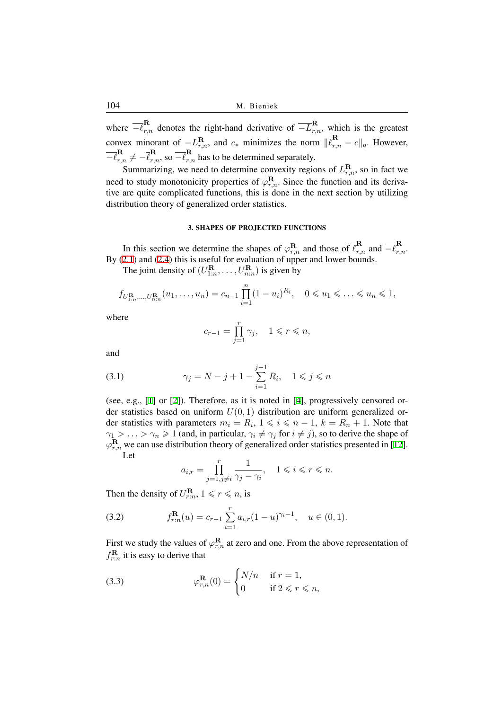where  $\overline{-\ell}_{r,n}^{\mathbf{R}}$  denotes the right-hand derivative of  $\overline{-L}_{r,n}^{\mathbf{R}}$ , which is the greatest convex minorant of  $-L_{r,n}^{\mathbf{R}}$ , and  $c_*$  minimizes the norm  $\|\bar{\ell}_{r,n}^{\mathbf{R}} - c\|_q$ . However,  $\overline{-\ell}_{r,n}^{\mathbf{R}} \neq -\overline{\ell}_{r,n}^{\mathbf{R}}$ , so  $\overline{-\ell}_{r,n}^{\mathbf{R}}$  has to be determined separately.

Summarizing, we need to determine convexity regions of  $L_{r,n}^{\mathbf{R}}$ , so in fact we need to study monotonicity properties of  $\varphi_{r,n}^{\mathbf{R}}$ . Since the function and its derivative are quite complicated functions, this is done in the next section by utilizing distribution theory of generalized order statistics.

# 3. SHAPES OF PROJECTED FUNCTIONS

In this section we determine the shapes of  $\varphi_{r,n}^{\mathbf{R}}$  and those of  $\overline{\ell}_{r,n}^{\mathbf{R}}$  and  $\overline{-\ell}_{r,n}^{\mathbf{R}}$ . By (2.1) and (2.4) this is useful for evaluation of upper and lower bounds.

The joint density of  $(U_{1:n}^{\mathbf{R}}, \dots, U_{n:n}^{\mathbf{R}})$  is given by

$$
f_{U_{1:n}^{\mathbf{R}},...,U_{n:n}^{\mathbf{R}}}(u_1,...,u_n) = c_{n-1} \prod_{i=1}^n (1-u_i)^{R_i}, \quad 0 \leq u_1 \leq ... \leq u_n \leq 1,
$$

where

$$
c_{r-1} = \prod_{j=1}^r \gamma_j, \quad 1 \leqslant r \leqslant n,
$$

and

(3.1) 
$$
\gamma_j = N - j + 1 - \sum_{i=1}^{j-1} R_i, \quad 1 \le j \le n
$$

(see, e.g., [1] or [2]). Therefore, as it is noted in [4], progressively censored order statistics based on uniform  $U(0, 1)$  distribution are uniform generalized order statistics with parameters  $m_i = R_i$ ,  $1 \leq i \leq n-1$ ,  $k = R_n + 1$ . Note that *γ*<sub>1</sub> > ... > *γ*<sub>*n*</sub>  $\geq$  1 (and, in particular, *γ*<sub>*i*</sub>  $\neq$  *γ*<sub>*j*</sub> for *i*  $\neq$  *j*), so to derive the shape of  $\varphi_{r,n}^{\mathbf{R}}$  we ca[n u](#page-13-2)se di[st](#page-13-0)ribution theory of generalized o[rd](#page-13-5)er statistics presented in [12]. Let

$$
a_{i,r}=\prod_{j=1,j\neq i}^r\frac{1}{\gamma_j-\gamma_i},\quad 1\leqslant i\leqslant r\leqslant n.
$$

Then the density of  $U_{r:n}^{\mathbf{R}}, 1 \leqslant r \leqslant n$ , is

(3.2) 
$$
f_{r:n}^{\mathbf{R}}(u) = c_{r-1} \sum_{i=1}^{r} a_{i,r} (1-u)^{\gamma_i-1}, \quad u \in (0,1).
$$

<span id="page-5-1"></span>First we study the values of  $\varphi_{r,n}^{\mathbf{R}}$  at zero and one. From the above representation of  $f_{r:n}^{\mathbf{R}}$  it is easy to derive that

<span id="page-5-0"></span>(3.3) 
$$
\varphi_{r,n}^{\mathbf{R}}(0) = \begin{cases} N/n & \text{if } r = 1, \\ 0 & \text{if } 2 \leq r \leq n, \end{cases}
$$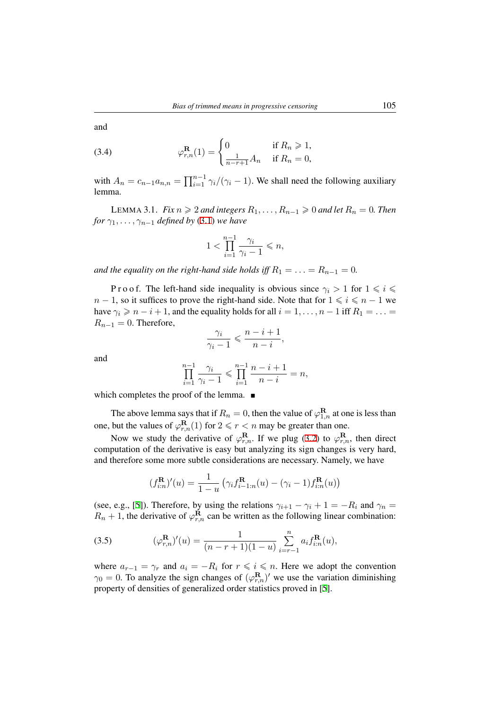(3.4) 
$$
\varphi_{r,n}^{R}(1) = \begin{cases} 0 & \text{if } R_n \geq 1, \\ \frac{1}{n-r+1} A_n & \text{if } R_n = 0, \end{cases}
$$

with  $A_n = c_{n-1}a_{n,n} = \prod_{i=1}^{n-1} \gamma_i/(\gamma_i - 1)$ . We shall need the following auxiliary lemma.

LEMMA 3.1. *Fix*  $n \ge 2$  *and integers*  $R_1, \ldots, R_{n-1} \ge 0$  *and let*  $R_n = 0$ *. Then for*  $\gamma_1, \ldots, \gamma_{n-1}$  *defined by* (3.1) *we have* 

<span id="page-6-0"></span>
$$
1 < \prod_{i=1}^{n-1} \frac{\gamma_i}{\gamma_i - 1} \leqslant n,
$$

<span id="page-6-2"></span>*and the equality on the right-hand side holds iff*  $R_1 = \ldots = R_{n-1} = 0$ .

P r o o f. The left-hand side inequality is obvious since  $\gamma_i > 1$  for  $1 \leq i \leq$ *n* − 1, so it suffices to prove the right-hand side. Note that for  $1 \le i \le n - 1$  we have  $\gamma_i \geqslant n - i + 1$ , and the equality holds for all  $i = 1, \ldots, n - 1$  iff  $R_1 = \ldots =$  $R_{n-1} = 0$ . Therefore,

$$
\frac{\gamma_i}{\gamma_i - 1} \leqslant \frac{n - i + 1}{n - i},
$$

and

$$
\prod_{i=1}^{n-1} \frac{\gamma_i}{\gamma_i - 1} \leqslant \prod_{i=1}^{n-1} \frac{n - i + 1}{n - i} = n,
$$

which completes the proof of the lemma.  $\blacksquare$ 

The above lemma says that if  $R_n = 0$ , then the value of  $\varphi_{1,n}^{\mathbf{R}}$  at one is less than one, but the values of  $\varphi_{r,n}^{\mathbf{R}}(1)$  for  $2 \leq r < n$  may be greater than one.

Now we study the derivative of  $\varphi_{r,n}^{\mathbf{R}}$ . If we plug (3.2) to  $\varphi_{r,n}^{\mathbf{R}}$ , then direct computation of the derivative is easy but analyzing its sign changes is very hard, and therefore some more subtle considerations are necessary. Namely, we have

$$
(f_{i:n}^{R})'(u) = \frac{1}{1-u} \left( \gamma_i f_{i-1:n}^{R}(u) - (\gamma_i - 1) f_{i:n}^{R}(u) \right)
$$

(see, e.g., [5]). Therefore, by using the relations  $\gamma_{i+1} - \gamma_i + 1 = -R_i$  and  $\gamma_n =$  $R_n + 1$ , the derivative of  $\varphi_{r,n}^{\mathbf{R}}$  can be written as the following linear combination:

(3.5) 
$$
(\varphi_{r,n}^{R})'(u) = \frac{1}{(n-r+1)(1-u)} \sum_{i=r-1}^{n} a_i f_{i:n}^{R}(u),
$$

<span id="page-6-1"></span>where  $a_{r-1} = \gamma_r$  and  $a_i = -R_i$  for  $r \leq i \leq n$ . Here we adopt the convention  $\gamma_0 = 0$ . To analyze the sign changes of  $(\varphi_{r,n}^{\mathbf{R}})'$  we use the variation diminishing property of densities of generalized order statistics proved in [5].

and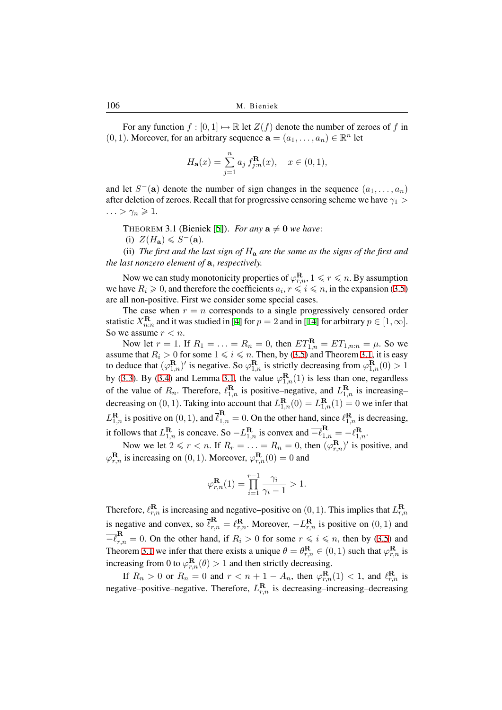For any function  $f : [0, 1] \mapsto \mathbb{R}$  let  $Z(f)$  denote the number of zeroes of f in (0, 1). Moreover, for an arbitrary sequence  $\mathbf{a} = (a_1, \dots, a_n) \in \mathbb{R}^n$  let

$$
H_{\mathbf{a}}(x) = \sum_{j=1}^{n} a_j f_{j:n}^{\mathbf{R}}(x), \quad x \in (0, 1),
$$

and let  $S^-$ (a) denote the number of sign changes in the sequence  $(a_1, \ldots, a_n)$ after deletion of zeroes. Recall that for progressive censoring scheme we have *γ*<sup>1</sup> *>*  $\ldots > \gamma_n \geqslant 1.$ 

THEOREM 3.1 (Bieniek [5]). *For any*  $a \neq 0$  *we have*:

(i)  $Z(H_{\mathbf{a}}) \leqslant S^{-}(\mathbf{a})$ .

(ii) *The first and the last sign of H***<sup>a</sup>** *are the same as the signs of the first and the last nonzero element of* **a***, [re](#page-13-9)spectively.*

<span id="page-7-0"></span>Now we can study monotonicity properties of  $\varphi_{r,n}^{\mathbf{R}}, 1 \leqslant r \leqslant n.$  By assumption we have  $R_i \geq 0$ , and therefore the coefficients  $a_i, r \leq i \leq n$ , in the expansion (3.5) are all non-positive. First we consider some special cases.

The case when  $r = n$  corresponds to a single progressively censored order statistic  $X_{n:n}^{\mathbf{R}}$  and it was studied in [4] for  $p = 2$  and in [14] for arbitrary  $p \in [1, \infty]$ . So we assume *r < n*.

Now let  $r = 1$ . If  $R_1 = \ldots = R_n = 0$ , then  $ET_{1,n}^{\mathbf{R}} = ET_{1,n:n} = \mu$ . So we assume that  $R_i > 0$  for some  $1 \leq i \leq n$ . Then, by (3.5) and Theorem 3.1, it is easy to deduce that  $(\varphi_{1,n}^{\mathbf{R}})'$  is negative. [So](#page-13-5)  $\varphi_{1,n}^{\mathbf{R}}$  is strictly d[ecr](#page-13-6)easing from  $\varphi_{1,n}^{\mathbf{R}}(0) > 1$ by (3.3). By (3.4) and Lemma 3.1, the value  $\varphi_{1,n}^{R}(1)$  is less than one, regardless of the value of  $R_n$ . Therefore,  $\ell_{1,n}^{\mathbf{R}}$  is positive–ne[gati](#page-6-1)ve, and  $L_{1,n}^{\mathbf{R}}$  i[s in](#page-7-0)creasing– decreasing on  $(0, 1)$ . Taking into account that  $L_{1,n}^{\mathbf{R}}(0) = L_{1,n}^{\mathbf{R}}(1) = 0$  we infer that  $L_{1,n}^{\mathbf{R}}$  $L_{1,n}^{\mathbf{R}}$  $L_{1,n}^{\mathbf{R}}$  [is p](#page-5-0)ositi[ve on](#page-6-0)  $(0, 1)$ , and  $\overline{\ell}_{1,n}^{\mathbf{R}} = 0$ . On the other hand, since  $\ell_{1,n}^{\mathbf{R}}$  is decreasing, it follows that  $L_{1,n}^{\mathbf{R}}$  is concave. So  $-L_{1,n}^{\mathbf{R}}$  is convex and  $\overline{-\ell}_{1,n}^{\mathbf{R}} = -\ell_{1,n}^{\mathbf{R}}$ .

Now we let  $2 \le r < n$ . If  $R_r = \ldots = R_n = 0$ , then  $(\varphi_{r,n}^{\mathbf{R}})'$  is positive, and  $\varphi_{r,n}^{\mathbf{R}}$  is increasing on (0, 1). Moreover,  $\varphi_{r,n}^{\mathbf{R}}(0) = 0$  and

$$
\varphi_{r,n}^{\mathbf{R}}(1) = \prod_{i=1}^{r-1} \frac{\gamma_i}{\gamma_i - 1} > 1.
$$

Therefore,  $\ell_{r,n}^{\mathbf{R}}$  is increasing and negative–positive on  $(0,1)$ . This implies that  $L_{r,n}^{\mathbf{R}}$ is negative and convex, so  $\overline{\ell}_{r,n}^{\mathbf{R}} = \ell_{r,n}^{\mathbf{R}}$ . Moreover,  $-L_{r,n}^{\mathbf{R}}$  is positive on  $(0,1)$  and  $\overline{-\ell}_{r,n}^{\mathbf{R}} = 0$ . On the other hand, if  $R_i > 0$  for some  $r \leqslant i \leqslant n$ , then by (3.5) and Theorem 3.1 we infer that there exists a unique  $\theta = \theta_{r,n}^{\mathbf{R}} \in (0,1)$  such that  $\varphi_{r,n}^{\mathbf{R}}$  is increasing from 0 to  $\varphi_{r,n}^{\mathbf{R}}(\theta) > 1$  and then strictly decreasing.

If  $R_n > 0$  or  $R_n = 0$  an[d](#page-6-1)  $r < n+1 - A_n$ , then  $\varphi_{r,n}^{\mathbf{R}}(1) < 1$ , and  $\ell_{r,n}^{\mathbf{R}}$  is negative–[pos](#page-7-0)itive–negative. Therefore,  $L_{r,n}^{\mathbf{R}}$  is decreasing–increasing–decreasing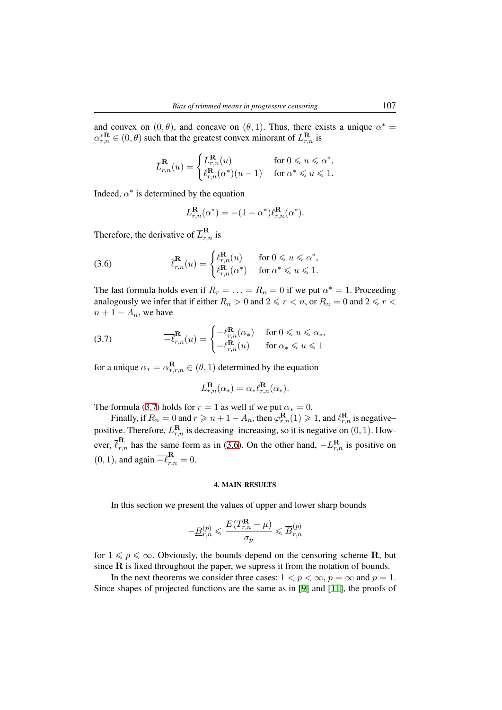and convex on  $(0, \theta)$ , and concave on  $(\theta, 1)$ . Thus, there exists a unique  $\alpha^* =$  $\alpha_{r,n}^{*R} \in (0,\theta)$  such that the greatest convex minorant of  $L_{r,n}^{R}$  is

$$
\overline{L}_{r,n}^{\mathbf{R}}(u) = \begin{cases} L_{r,n}^{\mathbf{R}}(u) & \text{for } 0 \leqslant u \leqslant \alpha^*, \\ \ell_{r,n}^{\mathbf{R}}(\alpha^*)(u-1) & \text{for } \alpha^* \leqslant u \leqslant 1. \end{cases}
$$

Indeed,  $\alpha^*$  is determined by the equation

$$
L_{r,n}^{\mathbf{R}}(\alpha^*) = -(1 - \alpha^*)\ell_{r,n}^{\mathbf{R}}(\alpha^*).
$$

Therefore, the derivative of  $\overline{L}_{r,n}^{\mathbf{R}}$  is

(3.6) 
$$
\overline{\ell}_{r,n}^{\mathbf{R}}(u) = \begin{cases} \ell_{r,n}^{\mathbf{R}}(u) & \text{for } 0 \leq u \leq \alpha^*, \\ \ell_{r,n}^{\mathbf{R}}(\alpha^*) & \text{for } \alpha^* \leq u \leq 1. \end{cases}
$$

<span id="page-8-1"></span>The last formula holds even if  $R_r = \ldots = R_n = 0$  if we put  $\alpha^* = 1$ . Proceeding analogously we infer that if either  $R_n > 0$  and  $2 \le r < n$ , or  $R_n = 0$  and  $2 \le r < n$  $n + 1 - A_n$ , we have

(3.7) 
$$
\overline{-\ell}_{r,n}^{\mathbf{R}}(u) = \begin{cases} -\ell_{r,n}^{\mathbf{R}}(\alpha_*) & \text{for } 0 \leq u \leq \alpha_*,\\ -\ell_{r,n}^{\mathbf{R}}(u) & \text{for } \alpha_* \leq u \leq 1 \end{cases}
$$

for a unique  $\alpha_* = \alpha_{*,r,n}^{\mathbf{R}} \in (\theta, 1)$  determined by the equation

<span id="page-8-0"></span>
$$
L_{r,n}^{\mathbf{R}}(\alpha_*) = \alpha_* \ell_{r,n}^{\mathbf{R}}(\alpha_*).
$$

The formula (3.7) holds for  $r = 1$  as well if we put  $\alpha_* = 0$ .

Finally, if  $R_n = 0$  and  $r \geq n + 1 - A_n$ , then  $\varphi_{r,n}^{\mathbf{R}}(1) \geq 1$ , and  $\ell_{r,n}^{\mathbf{R}}$  is negative– positive. Therefore,  $L_{r,n}^{\mathbf{R}}$  is decreasing–increasing, so it is negative on  $(0, 1)$ . However,  $\bar{\ell}_{r,n}^{\mathbf{R}}$  has [the](#page-8-0) same form as in (3.6). On the other hand,  $-L_{r,n}^{\mathbf{R}}$  is positive on  $(0, 1)$ , and again  $\overline{-\ell}_{r,n}^{\mathbf{R}} = 0$ .

# 4. [MAIN](#page-8-1) RESULTS

In this section we present the values of upper and lower sharp bounds

$$
-\underline{B}_{r,n}^{(p)}\leqslant \dfrac{E(T_{r,n}^{\textbf{R}}-\mu)}{\sigma_p}\leqslant \overline{B}_{r,n}^{(p)}
$$

for  $1 \leq p \leq \infty$ . Obviously, the bounds depend on the censoring scheme **R**, but since **R** is fixed throughout the paper, we supress it from the notation of bounds.

In the next theorems we consider three cases:  $1 < p < \infty$ ,  $p = \infty$  and  $p = 1$ . Since shapes of projected functions are the same as in [9] and [11], the proofs of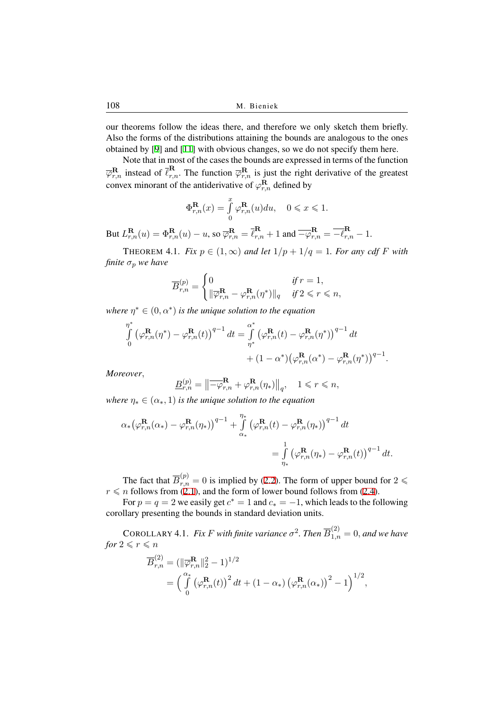our theorems follow the ideas there, and therefore we only sketch them briefly. Also the forms of the distributions attaining the bounds are analogous to the ones obtained by [9] and [11] with obvious changes, so we do not specify them here.

Note that in most of the cases the bounds are expressed in terms of the function  $\overline{\varphi}_{r,n}^{\textbf{R}}$  instead of  $\overline{\ell}_{r,n}^{\textbf{R}}$ . The function  $\overline{\varphi}_{r,n}^{\textbf{R}}$  is just the right derivative of the greatest convex mino[ra](#page-13-3)nt of t[he](#page-13-11) antiderivative of  $\varphi_{r,n}^{\mathbf{R}}$  defined by

$$
\Phi_{r,n}^{\mathbf{R}}(x) = \int_{0}^{x} \varphi_{r,n}^{\mathbf{R}}(u) du, \quad 0 \leq x \leq 1.
$$

But  $L_{r,n}^{\mathbf{R}}(u) = \Phi_{r,n}^{\mathbf{R}}(u) - u$ , so  $\overline{\varphi}_{r,n}^{\mathbf{R}} = \overline{\ell}_{r,n}^{\mathbf{R}} + 1$  and  $\overline{-\varphi}_{r,n}^{\mathbf{R}} = \overline{-\ell}_{r,n}^{\mathbf{R}} - 1$ .

THEOREM 4.1. *Fix*  $p \in (1, \infty)$  *and let*  $1/p + 1/q = 1$ *. For any cdf F with finite*  $\sigma_p$  *we have* 

$$
\overline{B}_{r,n}^{(p)} = \begin{cases} 0 & \text{if } r = 1, \\ \|\overline{\varphi}_{r,n}^{\mathbf{R}} - \varphi_{r,n}^{\mathbf{R}}(\eta^*)\|_q & \text{if } 2 \leqslant r \leqslant n, \end{cases}
$$

*where*  $\eta^* \in (0, \alpha^*)$  *is the unique solution to the equation* 

$$
\int_{0}^{\eta^*} \left(\varphi_{r,n}^{\mathbf{R}}(\eta^*) - \varphi_{r,n}^{\mathbf{R}}(t)\right)^{q-1} dt = \int_{\eta^*}^{\alpha^*} \left(\varphi_{r,n}^{\mathbf{R}}(t) - \varphi_{r,n}^{\mathbf{R}}(\eta^*)\right)^{q-1} dt + (1 - \alpha^*) \left(\varphi_{r,n}^{\mathbf{R}}(\alpha^*) - \varphi_{r,n}^{\mathbf{R}}(\eta^*)\right)^{q-1}.
$$

*Moreover,*

$$
\underline{B}_{r,n}^{(p)} = \left\| \overline{-\varphi}_{r,n}^{\mathbf{R}} + \varphi_{r,n}^{\mathbf{R}}(\eta_*) \right\|_q, \quad 1 \leqslant r \leqslant n,
$$

*where*  $\eta_* \in (\alpha_*, 1)$  *is the unique solution to the equation* 

$$
\alpha_* \big(\varphi_{r,n}^\mathbf{R}(\alpha_*) - \varphi_{r,n}^\mathbf{R}(\eta_*)\big)^{q-1} + \int\limits_{\alpha_*}^{\eta_*} \big(\varphi_{r,n}^\mathbf{R}(t) - \varphi_{r,n}^\mathbf{R}(\eta_*)\big)^{q-1} dt
$$
  
= 
$$
\int\limits_{\eta_*}^1 \big(\varphi_{r,n}^\mathbf{R}(\eta_*) - \varphi_{r,n}^\mathbf{R}(t)\big)^{q-1} dt.
$$

The fact that  $\overline{B}_{r,n}^{(p)} = 0$  is implied by (2.2). The form of upper bound for  $2 \leq$  $r \leq n$  follows from (2.1), and the form of lower bound follows from (2.4).

For  $p = q = 2$  we easily get  $c^* = 1$  and  $c_* = -1$ , which leads to the following corollary presenting the bounds in standard deviation units.

COROLLARY 4.[1.](#page-4-1) *Fix F* with finite variance  $\sigma^2$ . Then  $\overline{B}_{1,n}^{(2)} = 0$ , [and](#page-4-2) we have *for*  $2 \leqslant r \leqslant n$ 

$$
\overline{B}_{r,n}^{(2)} = (\|\overline{\varphi}_{r,n}^{\mathbf{R}}\|_{2}^{2} - 1)^{1/2}
$$
  
=  $\left(\int_{0}^{\alpha_{*}} (\varphi_{r,n}^{\mathbf{R}}(t))^{2} dt + (1 - \alpha_{*}) (\varphi_{r,n}^{\mathbf{R}}(\alpha_{*}))^{2} - 1\right)^{1/2},$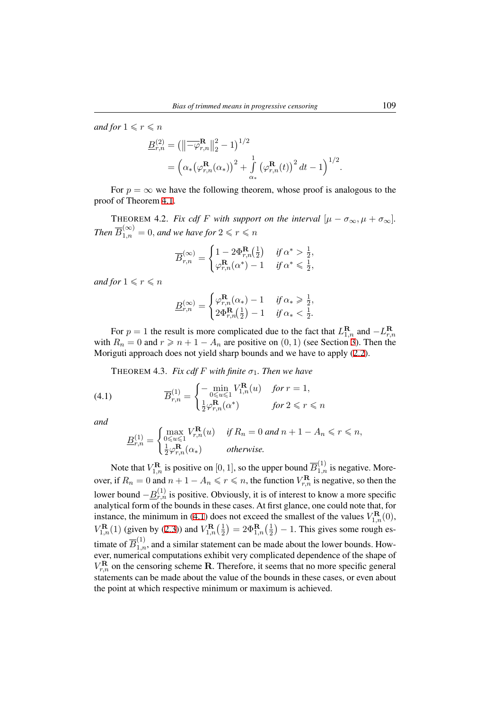*and for*  $1 \leq r \leq n$ 

$$
\underline{B}_{r,n}^{(2)} = (\left\|\overline{-\varphi}_{r,n}^{\mathbf{R}}\right\|_{2}^{2} - 1)^{1/2} \n= \left(\alpha_{*}(\varphi_{r,n}^{\mathbf{R}}(\alpha_{*}))^{2} + \int_{\alpha_{*}}^{1} (\varphi_{r,n}^{\mathbf{R}}(t))^{2} dt - 1\right)^{1/2}.
$$

For  $p = \infty$  we have the following theorem, whose proof is analogous to the proof of Theorem 4.1.

THEOREM 4.2. *Fix cdf F with support on the interval*  $[\mu - \sigma_{\infty}, \mu + \sigma_{\infty}]$ .  $Then \ \overline{B}_{1,n}^{(\infty)} = 0, and we have for \ 2 \leqslant r \leqslant n$ 

$$
\overline{B}_{r,n}^{(\infty)} = \begin{cases} 1 - 2\Phi_{r,n}^{\mathbf{R}}(\frac{1}{2}) & \text{if } \alpha^* > \frac{1}{2}, \\ \varphi_{r,n}^{\mathbf{R}}(\alpha^*) - 1 & \text{if } \alpha^* \leqslant \frac{1}{2}, \end{cases}
$$

*and for*  $1 \le r \le n$ 

$$
\underline{B}_{r,n}^{(\infty)} = \begin{cases} \varphi_{r,n}^{\mathbf{R}}(\alpha_*) - 1 & \text{if } \alpha_* \geqslant \frac{1}{2}, \\ 2\Phi_{r,n}^{\mathbf{R}}\left(\frac{1}{2}\right) - 1 & \text{if } \alpha_* < \frac{1}{2}. \end{cases}
$$

For  $p = 1$  the result is more complicated due to the fact that  $L_{1,n}^{\mathbf{R}}$  and  $-L_{r,n}^{\mathbf{R}}$ with  $R_n = 0$  and  $r \geq n + 1 - A_n$  are positive on  $(0, 1)$  (see Section 3). Then the Moriguti approach does not yield sharp bounds and we have to apply (2.2).

THEOREM 4.3. *Fix cdf F with finite*  $\sigma_1$ *. Then we have* 

(4.1) 
$$
\overline{B}_{r,n}^{(1)} = \begin{cases} -\min_{0 \le u \le 1} V_{1,n}^{\mathbf{R}}(u) & \text{for } r = 1, \\ \frac{1}{2} \varphi_{r,n}^{\mathbf{R}}(\alpha^*) & \text{for } 2 \le r \le n \end{cases}
$$

*and*

<span id="page-10-0"></span>
$$
\underline{B}_{r,n}^{(1)} = \begin{cases} \max_{0 \le u \le 1} V_{r,n}^{\mathbf{R}}(u) & \text{if } R_n = 0 \text{ and } n+1 - A_n \le r \le n, \\ \frac{1}{2} \varphi_{r,n}^{\mathbf{R}}(\alpha_*) & \text{otherwise.} \end{cases}
$$

Note that  $V_{1,n}^{\mathbf{R}}$  is positive on [0, 1], so the upper bound  $\overline{B}_{1,n}^{(1)}$  is negative. Moreover, if  $R_n = 0$  and  $n + 1 - A_n \leqslant r \leqslant n$ , the function  $V_{r,n}^{\mathbf{R}}$  is negative, so then the lower bound  $-\underline{B}_{r,n}^{(1)}$  is positive. Obviously, it is of interest to know a more specific analytical form of the bounds in these cases. At first glance, one could note that, for instance, the minimum in (4.1) does not exceed the smallest of the values  $V_{1,n}^{\mathbf{R}}(0)$ , *V*<sub>1,*n*</sub>(1) (given by (2.3)) and  $V_{1,n}^{\mathbf{R}}(\frac{1}{2})$  $(\frac{1}{2}) = 2\Phi_{1,n}^{\mathbf{R}}(\frac{1}{2})$  $\frac{1}{2}$ ) – 1. This gives some rough estimate of  $\overline{B}_{1,n}^{(1)}$ , and a similar statement can be made about the lower bounds. However, numerical computati[ons e](#page-10-0)xhibit very complicated dependence of the shape of  $V_{r,n}^{\textbf{R}}$  on the censori[ng s](#page-4-3)cheme **R**. Therefore, it seems that no more specific general statements can be made about the value of the bounds in these cases, or even about the point at which respective minimum or maximum is achieved.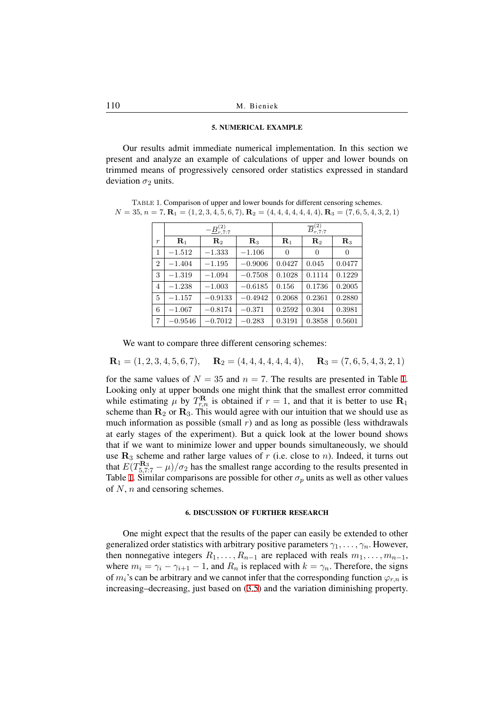# 5. NUMERICAL EXAMPLE

Our results admit immediate numerical implementation. In this section we present and analyze an example of calculations of upper and lower bounds on trimmed means of progressively censored order statistics expressed in standard deviation  $\sigma_2$  units.

<span id="page-11-1"></span>Table 1. Comparison of upper and lower bounds for different censoring schemes.  $N = 35, n = 7, \mathbf{R}_1 = (1, 2, 3, 4, 5, 6, 7), \mathbf{R}_2 = (4, 4, 4, 4, 4, 4, 4, 4), \mathbf{R}_3 = (7, 6, 5, 4, 3, 2, 1)$ 

|                  | $-\underline{B}_{r,7:7}^{(2)}$ |                |                | $\overline{B}_{r,7:7}^{(2)}$ |                |                |
|------------------|--------------------------------|----------------|----------------|------------------------------|----------------|----------------|
| $\boldsymbol{r}$ | $\mathbf{R}_1$                 | $\mathbf{R}_2$ | $\mathbf{R}_3$ | $\mathbf{R}_1$               | $\mathbf{R}_2$ | $\mathbf{R}_3$ |
| 1                | $-1.512$                       | $-1.333$       | $-1.106$       | $\theta$                     | $\theta$       | $\theta$       |
| $\overline{2}$   | $-1.404$                       | $-1.195$       | $-0.9006$      | 0.0427                       | 0.045          | 0.0477         |
| 3                | $-1.319$                       | $-1.094$       | $-0.7508$      | 0.1028                       | 0.1114         | 0.1229         |
| 4                | $-1.238$                       | $-1.003$       | $-0.6185$      | 0.156                        | 0.1736         | 0.2005         |
| 5                | $-1.157$                       | $-0.9133$      | $-0.4942$      | 0.2068                       | 0.2361         | 0.2880         |
| 6                | $-1.067$                       | $-0.8174$      | $-0.371$       | 0.2592                       | 0.304          | 0.3981         |
| 7                | $-0.9546$                      | $-0.7012$      | $-0.283$       | 0.3191                       | 0.3858         | 0.5601         |

We want to compare three different censoring schemes:

$$
\mathbf{R}_1 = (1, 2, 3, 4, 5, 6, 7), \quad \mathbf{R}_2 = (4, 4, 4, 4, 4, 4, 4), \quad \mathbf{R}_3 = (7, 6, 5, 4, 3, 2, 1)
$$

for the same values of  $N = 35$  and  $n = 7$ . The results are presented in Table 1. Looking only at upper bounds one might think that the smallest error committed while estimating  $\mu$  by  $T^{\mathbf{R}}_{r,n}$  is obtained if  $r = 1$ , and that it is better to use  $\mathbf{R}_1$ scheme than  $\mathbf{R}_2$  or  $\mathbf{R}_3$ . This would agree with our intuition that we should use as much information as possible (small  $r$ ) and as long as possible (less withdraw[als](#page-11-1) at early stages of the experiment). But a quick look at the lower bound shows that if we want to minimize lower and upper bounds simultaneously, we should use  $\mathbf{R}_3$  scheme and rather large values of  $r$  (i.e. close to  $n$ ). Indeed, it turns out that  $E(T_{5,7.7}^{R_3} - \mu)/\sigma_2$  has the smallest range according to the results presented in Table 1. Similar comparisons are possible for other  $\sigma_p$  units as well as other values of *N*, *n* and censoring schemes.

## 6. DISCUSSION OF FURTHER RESEARCH

<span id="page-11-0"></span>One might expect that the results of the paper can easily be extended to other generalized order statistics with arbitrary positive parameters  $\gamma_1, \ldots, \gamma_n$ . However, then nonnegative integers  $R_1, \ldots, R_{n-1}$  are replaced with reals  $m_1, \ldots, m_{n-1}$ , where  $m_i = \gamma_i - \gamma_{i+1} - 1$ , and  $R_n$  is replaced with  $k = \gamma_n$ . Therefore, the signs of  $m_i$ 's can be arbitrary and we cannot infer that the corresponding function  $\varphi_{r,n}$  is increasing–decreasing, just based on (3.5) and the variation diminishing property.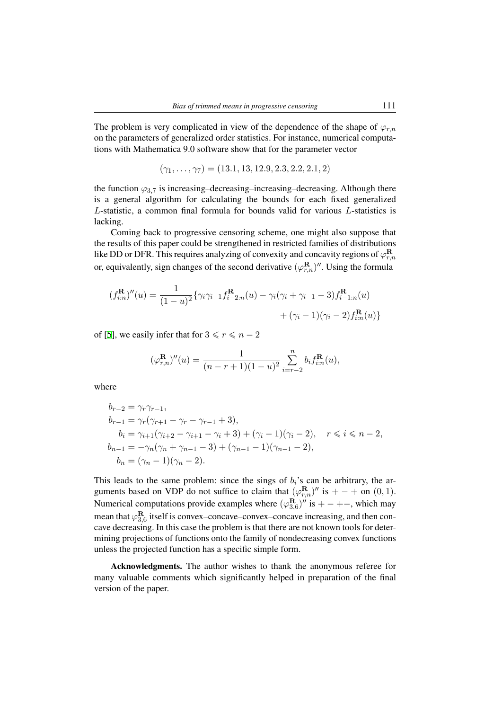The problem is very complicated in view of the dependence of the shape of  $\varphi_{r,n}$ on the parameters of generalized order statistics. For instance, numerical computations with Mathematica 9.0 software show that for the parameter vector

$$
(\gamma_1,\ldots,\gamma_7)=(13.1,13,12.9,2.3,2.2,2.1,2)
$$

the function  $\varphi_{3,7}$  is increasing–decreasing–increasing–decreasing. Although there is a general algorithm for calculating the bounds for each fixed generalized *L*-statistic, a common final formula for bounds valid for various *L*-statistics is lacking.

Coming back to progressive censoring scheme, one might also suppose that the results of this paper could be strengthened in restricted families of distributions like DD or DFR. This requires analyzing of convexity and concavity regions of  $\varphi_{r,n}^{\mathbf{R}}$ or, equivalently, sign changes of the second derivative  $(\varphi_{r,n}^{\mathbf{R}})''$ . Using the formula

$$
(f_{i:n}^{R})''(u) = \frac{1}{(1-u)^2} \{ \gamma_i \gamma_{i-1} f_{i-2:n}^{R}(u) - \gamma_i (\gamma_i + \gamma_{i-1} - 3) f_{i-1:n}^{R}(u) + (\gamma_i - 1)(\gamma_i - 2) f_{i:n}^{R}(u) \}
$$

of [5], we easily infer that for  $3 \le r \le n-2$ 

$$
(\varphi_{r,n}^{\mathbf{R}})^{"}(u) = \frac{1}{(n-r+1)(1-u)^2} \sum_{i=r-2}^{n} b_i f_{i:n}^{\mathbf{R}}(u),
$$

where

$$
b_{r-2} = \gamma_r \gamma_{r-1},
$$
  
\n
$$
b_{r-1} = \gamma_r (\gamma_{r+1} - \gamma_r - \gamma_{r-1} + 3),
$$
  
\n
$$
b_i = \gamma_{i+1} (\gamma_{i+2} - \gamma_{i+1} - \gamma_i + 3) + (\gamma_i - 1)(\gamma_i - 2), \quad r \le i \le n - 2,
$$
  
\n
$$
b_{n-1} = -\gamma_n (\gamma_n + \gamma_{n-1} - 3) + (\gamma_{n-1} - 1)(\gamma_{n-1} - 2),
$$
  
\n
$$
b_n = (\gamma_n - 1)(\gamma_n - 2).
$$

This leads to the same problem: since the sings of  $b_i$ 's can be arbitrary, the arguments based on VDP do not suffice to claim that  $(\varphi_{r,n}^{\mathbf{R}})''$  is  $+ - +$  on  $(0,1)$ . Numerical computations provide examples where  $(\varphi_{3,6}^{\mathbf{R}})''$  is  $+ - + -$ , which may mean that  $\varphi_{3,6}^{\mathbf{R}}$  itself is convex–concave–convex–concave increasing, and then concave decreasing. In this case the problem is that there are not known tools for determining projections of functions onto the family of nondecreasing convex functions unless the projected function has a specific simple form.

Acknowledgments. The author wishes to thank the anonymous referee for many valuable comments which significantly helped in preparation of the final version of the paper.